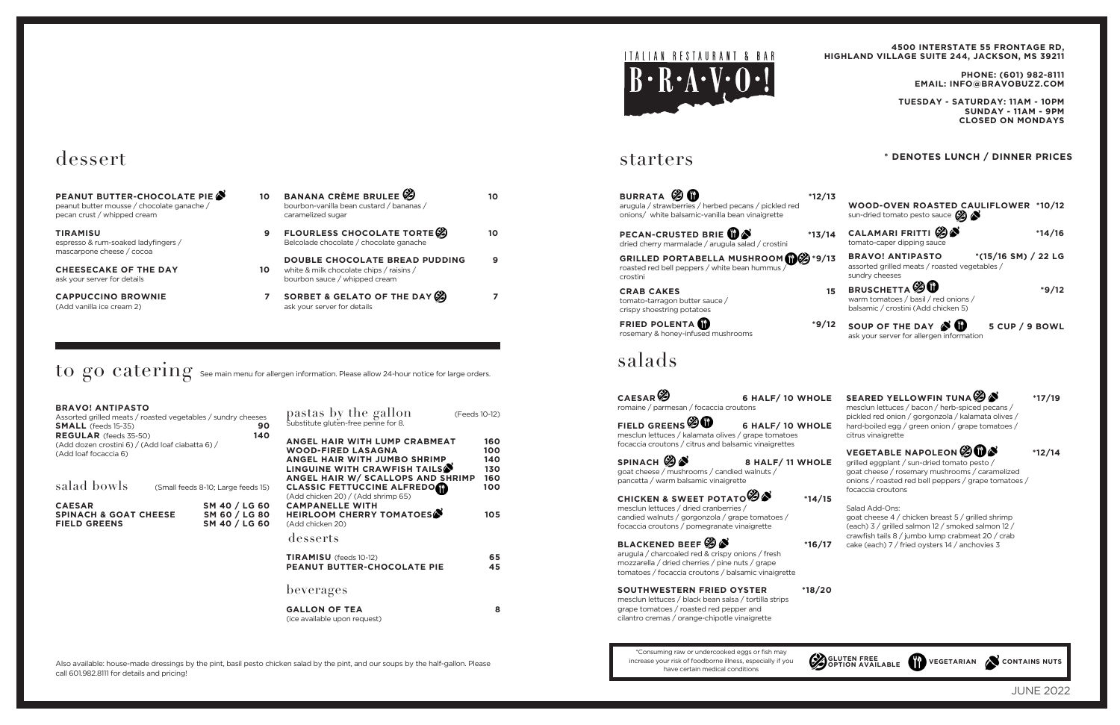## starters

- **BURRATA 3 13** arugula / strawberries / herbed pecans / pickled red onions/ white balsamic-vanilla bean vinaigrette
- **PECAN-CRUSTED BRIE 13/** dried cherry marmalade / arugula salad / crostini
- **GRILLED PORTABELLA MUSHROOM**  $\mathbb{Q}$ <sup>\*9</sup>/ roasted red bell peppers / white bean hummus / crostini
- **CRAB CAKES** tomato-tarragon butter sauce / crispy shoestring potatoes
- **FRIED POLENTA \*9/12** rosemary & honey-infused mushrooms

## dessert

| <b>PEANUT BUTTER-CHOCOLATE PIE &amp;</b><br>peanut butter mousse / chocolate ganache /<br>pecan crust / whipped cream | 10 |
|-----------------------------------------------------------------------------------------------------------------------|----|
| TIRAMISU<br>espresso & rum-soaked ladyfingers /<br>mascarpone cheese / cocoa                                          |    |
| <b>CHEESECAKE OF THE DAY</b><br>ask vour server for details                                                           | 10 |
| <b>CAPPUCCINO BROWNIE</b><br>(Add vanilla ice cream 2)                                                                |    |

**CAESAR<sup>6</sup> 6 HALF/ 10 WHOL** romaine / parmesan / focaccia croutons

| 10 | <b>BANANA CRÈME BRULEE</b><br>bourbon-vanilla bean custard / bananas /<br>caramelized sugar                        |  |
|----|--------------------------------------------------------------------------------------------------------------------|--|
|    | <b>FLOURLESS CHOCOLATE TORTE</b><br>Belcolade chocolate / chocolate ganache                                        |  |
| 10 | <b>DOUBLE CHOCOLATE BREAD PUDDING</b><br>white & milk chocolate chips / raisins /<br>bourbon sauce / whipped cream |  |
|    | SORBET & GELATO OF THE DAY $\mathscr{G}$                                                                           |  |

**FIELD GREENS <sup><sup>9</sup>**</sup> **6** HALF/ 10 WHOLE mesclun lettuces / kalamata olives / grape tomatoes focaccia croutons / citrus and balsamic vinaigrettes

**SPINACH 28 8 HALF/ 11 WHOL** goat cheese / mushrooms / candied walnuts / pancetta / warm balsamic vinaigrette

ask your server for details

 $\rm{to~go~category}$   $\rm{energy~se}$  and  $\rm{energy~se}$  allergen information. Please allow 24-hour notice for large orders.

**CHICKEN & SWEET POTATO**  $\mathscr{B}$  **\***14/ mesclun lettuces / dried cranberries / candied walnuts / gorgonzola / grape tomatoes / focaccia croutons / pomegranate vinaigrette

**BLACKENED BEEF**  $\mathcal{B} \bullet$  **\*16/** arugula / charcoaled red & crispy onions / fresh mozzarella / dried cherries / pine nuts / grape tomatoes / focaccia croutons / balsamic vinaigrette

| <b>BRAVO! ANTIPASTO</b><br>Assorted grilled meats / roasted vegetables / sundry cheeses<br><b>SMALL</b> (feeds 15-35) | 90                                              | pastas by the gallon<br>Substitute gluten-free penne for 8.                                                                                                                  | (Feeds 10-12)                   |
|-----------------------------------------------------------------------------------------------------------------------|-------------------------------------------------|------------------------------------------------------------------------------------------------------------------------------------------------------------------------------|---------------------------------|
| <b>REGULAR</b> (feeds 35-50)<br>(Add dozen crostini 6) / (Add loaf ciabatta 6) /<br>(Add loaf focaccia 6)             | 140                                             | ANGEL HAIR WITH LUMP CRABMEAT<br><b>WOOD-FIRED LASAGNA</b><br>ANGEL HAIR WITH JUMBO SHRIMP<br>LINGUINE WITH CRAWFISH TAILS <sup>S</sup><br>ANGEL HAIR W/ SCALLOPS AND SHRIMP | 160<br>100<br>140<br>130<br>160 |
| salad bowls                                                                                                           | (Small feeds 8-10; Large feeds 15)              | <b>CLASSIC FETTUCCINE ALFREDOM</b><br>(Add chicken 20) / (Add shrimp 65)                                                                                                     | 100                             |
| <b>CAESAR</b><br><b>SPINACH &amp; GOAT CHEESE</b><br><b>FIELD GREENS</b>                                              | SM 40 / LG 60<br>SM 60 / LG 80<br>SM 40 / LG 60 | <b>CAMPANELLE WITH</b><br>HEIRLOOM CHERRY TOMATOES<br>(Add chicken 20)                                                                                                       | 105                             |
|                                                                                                                       |                                                 | desserts                                                                                                                                                                     |                                 |
|                                                                                                                       |                                                 | <b>TIRAMISU</b> (feeds 10-12)<br><b>PEANUT BUTTER-CHOCOLATE PIE</b>                                                                                                          | 65<br>45                        |
|                                                                                                                       |                                                 | beverages                                                                                                                                                                    |                                 |
|                                                                                                                       |                                                 | <b>GALLON OF TEA</b><br>(ice available upon request)                                                                                                                         | 8                               |

Also available: house-made dressings by the pint, basil pesto chicken salad by the pint, and our soups by the half-gallon. Please call 601.982.8111 for details and pricing!



# salads

|     | PHONE: (601) 982-8111<br><b>EMAIL: INFO@BRAVOBUZZ.COM</b>                                                                                                                              |          |
|-----|----------------------------------------------------------------------------------------------------------------------------------------------------------------------------------------|----------|
|     | TUESDAY - SATURDAY: 11AM - 10PM<br>SUNDAY - 11AM - 9PM<br><b>CLOSED ON MONDAYS</b>                                                                                                     |          |
|     | <b>DENOTES LUNCH / DINNER PRICES</b>                                                                                                                                                   |          |
| /13 | <b>WOOD-OVEN ROASTED CAULIFLOWER *10/12</b><br>sun-dried tomato pesto sauce $\bigotimes$                                                                                               |          |
| 14  | CALAMARI FRITTI (2)<br>tomato-caper dipping sauce                                                                                                                                      | $*14/16$ |
| /13 | *(15/16 SM) / 22 LG<br><b>BRAVO! ANTIPASTO</b><br>assorted grilled meats / roasted vegetables /<br>sundry cheeses                                                                      |          |
| 15  | <b>BRUSCHETTA</b> $\mathscr{D}$<br>warm tomatoes / basil / red onions /<br>balsamic / crostini (Add chicken 5)                                                                         | $*9/12$  |
| /12 | SOUP OF THE DAY $\mathcal S$ $\mathbf w$<br>5 CUP / 9 BOWL<br>ask your server for allergen information                                                                                 |          |
|     |                                                                                                                                                                                        |          |
| .E  | SEARED YELLOWFIN TUNA 3<br>mesclun lettuces / bacon / herb-spiced pecans /                                                                                                             | $*17/19$ |
| .E  | pickled red onion / gorgonzola / kalamata olives /<br>hard-boiled egg / green onion / grape tomatoes /<br>citrus vinaigrette                                                           |          |
|     |                                                                                                                                                                                        |          |
| .E  | <b>VEGETABLE NAPOLEON SOM</b><br>grilled eggplant / sun-dried tomato pesto /<br>goat cheese / rosemary mushrooms / caramelized<br>onions / roasted red bell peppers / grape tomatoes / | *12/14   |
| 15  | focaccia croutons<br>Salad Add-Ons:<br>goat cheese 4 / chicken breast 5 / grilled shrimp<br>(each) 3 / grilled salmon 12 / smoked salmon 12 /                                          |          |

**SOUTHWESTERN FRIED OYSTER \*18/20** mesclun lettuces / black bean salsa / tortilla strips grape tomatoes / roasted red pepper and cilantro cremas / orange-chipotle vinaigrette

\*Consuming raw or undercooked eggs or fish may increase your risk of foodborne illness, especially if you have certain medical conditions

GLUTEN FREE<br>**GETARIAN** VEGETARIAN CONTAINS NUTS

**4500 INTERSTATE 55 FRONTAGE RD,**

**HIGHLAND VILLAGE SUITE 244, JACKSON, MS 39211**

JUNE 2022